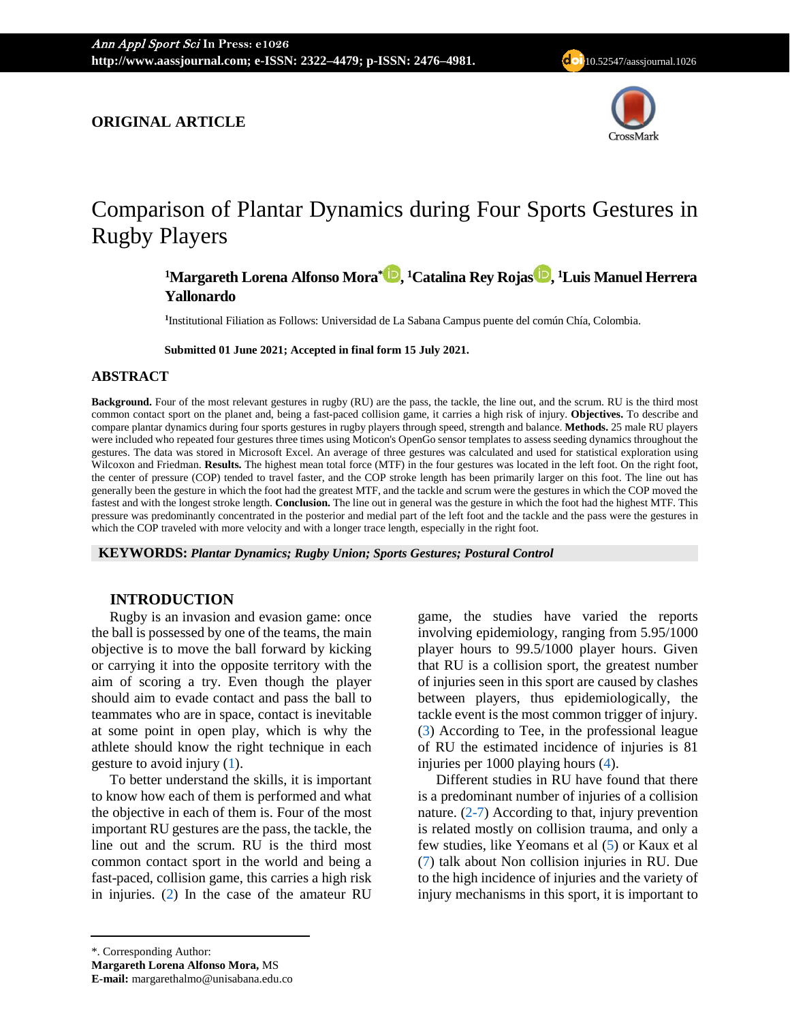# **ORIGINAL ARTICLE**



# Comparison of Plantar Dynamics during Four Sports Gestures in Rugby Players

# **1 Margareth Lorena Alfonso Mora\* [,](https://orcid.org/0000-0003-0925-8641) 1 Catalina Rey Rojas , 1 Luis Manuel Herrera Yallonardo**

**1** Institutional Filiation as Follows: Universidad de La Sabana Campus puente del común Chía, Colombia.

**Submitted 01 June 2021; Accepted in final form 15 July 2021.**

#### **ABSTRACT**

**Background.** Four of the most relevant gestures in rugby (RU) are the pass, the tackle, the line out, and the scrum. RU is the third most common contact sport on the planet and, being a fast-paced collision game, it carries a high risk of injury. **Objectives.** To describe and compare plantar dynamics during four sports gestures in rugby players through speed, strength and balance. **Methods.** 25 male RU players were included who repeated four gestures three times using Moticon's OpenGo sensor templates to assess seeding dynamics throughout the gestures. The data was stored in Microsoft Excel. An average of three gestures was calculated and used for statistical exploration using Wilcoxon and Friedman. **Results.** The highest mean total force (MTF) in the four gestures was located in the left foot. On the right foot, the center of pressure (COP) tended to travel faster, and the COP stroke length has been primarily larger on this foot. The line out has generally been the gesture in which the foot had the greatest MTF, and the tackle and scrum were the gestures in which the COP moved the fastest and with the longest stroke length. **Conclusion.** The line out in general was the gesture in which the foot had the highest MTF. This pressure was predominantly concentrated in the posterior and medial part of the left foot and the tackle and the pass were the gestures in which the COP traveled with more velocity and with a longer trace length, especially in the right foot.

**KEYWORDS:** *Plantar Dynamics; Rugby Union; Sports Gestures; Postural Control*

# **INTRODUCTION**

Rugby is an invasion and evasion game: once the ball is possessed by one of the teams, the main objective is to move the ball forward by kicking or carrying it into the opposite territory with the aim of scoring a try. Even though the player should aim to evade contact and pass the ball to teammates who are in space, contact is inevitable at some point in open play, which is why the athlete should know the right technique in each gesture to avoid injury [\(1\)](#page-6-0).

To better understand the skills, it is important to know how each of them is performed and what the objective in each of them is. Four of the most important RU gestures are the pass, the tackle, the line out and the scrum. RU is the third most common contact sport in the world and being a fast-paced, collision game, this carries a high risk in injuries. [\(2\)](#page-6-1) In the case of the amateur RU

game, the studies have varied the reports involving epidemiology, ranging from 5.95/1000 player hours to 99.5/1000 player hours. Given that RU is a collision sport, the greatest number of injuries seen in this sport are caused by clashes between players, thus epidemiologically, the tackle event is the most common trigger of injury. [\(3\)](#page-6-2) According to Tee, in the professional league of RU the estimated incidence of injuries is 81 injuries per 1000 playing hours [\(4\)](#page-6-3).

Different studies in RU have found that there is a predominant number of injuries of a collision nature.  $(2-7)$  According to that, injury prevention is related mostly on collision trauma, and only a few studies, like Yeomans et al [\(5\)](#page-6-4) or Kaux et al [\(7\)](#page-6-5) talk about Non collision injuries in RU. Due to the high incidence of injuries and the variety of injury mechanisms in this sport, it is important to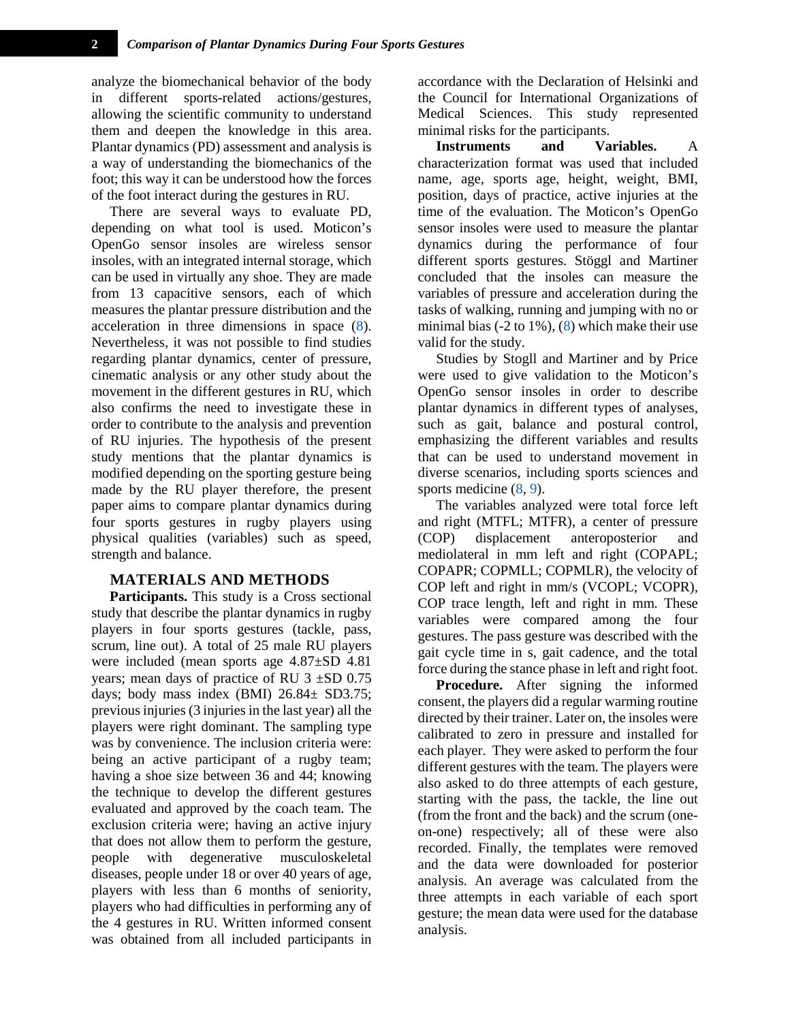analyze the biomechanical behavior of the body in different sports-related actions/gestures, allowing the scientific community to understand them and deepen the knowledge in this area. Plantar dynamics (PD) assessment and analysis is a way of understanding the biomechanics of the foot; this way it can be understood how the forces of the foot interact during the gestures in RU.

There are several ways to evaluate PD, depending on what tool is used. Moticon's OpenGo sensor insoles are wireless sensor insoles, with an integrated internal storage, which can be used in virtually any shoe. They are made from 13 capacitive sensors, each of which measures the plantar pressure distribution and the acceleration in three dimensions in space [\(8\)](#page-6-6). Nevertheless, it was not possible to find studies regarding plantar dynamics, center of pressure, cinematic analysis or any other study about the movement in the different gestures in RU, which also confirms the need to investigate these in order to contribute to the analysis and prevention of RU injuries. The hypothesis of the present study mentions that the plantar dynamics is modified depending on the sporting gesture being made by the RU player therefore, the present paper aims to compare plantar dynamics during four sports gestures in rugby players using physical qualities (variables) such as speed, strength and balance.

# **MATERIALS AND METHODS**

**Participants.** This study is a Cross sectional study that describe the plantar dynamics in rugby players in four sports gestures (tackle, pass, scrum, line out). A total of 25 male RU players were included (mean sports age 4.87±SD 4.81 years; mean days of practice of RU  $3 \pm SD$  0.75 days; body mass index (BMI) 26.84± SD3.75; previous injuries (3 injuries in the last year) all the players were right dominant. The sampling type was by convenience. The inclusion criteria were: being an active participant of a rugby team; having a shoe size between 36 and 44; knowing the technique to develop the different gestures evaluated and approved by the coach team. The exclusion criteria were; having an active injury that does not allow them to perform the gesture, people with degenerative musculoskeletal diseases, people under 18 or over 40 years of age, players with less than 6 months of seniority, players who had difficulties in performing any of the 4 gestures in RU. Written informed consent was obtained from all included participants in

accordance with the Declaration of Helsinki and the Council for International Organizations of Medical Sciences. This study represented minimal risks for the participants.

**Instruments and Variables.** A characterization format was used that included name, age, sports age, height, weight, BMI, position, days of practice, active injuries at the time of the evaluation. The Moticon's OpenGo sensor insoles were used to measure the plantar dynamics during the performance of four different sports gestures. Stöggl and Martiner concluded that the insoles can measure the variables of pressure and acceleration during the tasks of walking, running and jumping with no or minimal bias  $(-2 \text{ to } 1\%)$ ,  $(8)$  which make their use valid for the study.

Studies by Stogll and Martiner and by Price were used to give validation to the Moticon's OpenGo sensor insoles in order to describe plantar dynamics in different types of analyses, such as gait, balance and postural control, emphasizing the different variables and results that can be used to understand movement in diverse scenarios, including sports sciences and sports medicine  $(8, 9)$  $(8, 9)$ .

The variables analyzed were total force left and right (MTFL; MTFR), a center of pressure (COP) displacement anteroposterior and mediolateral in mm left and right (COPAPL; COPAPR; COPMLL; COPMLR), the velocity of COP left and right in mm/s (VCOPL; VCOPR), COP trace length, left and right in mm. These variables were compared among the four gestures. The pass gesture was described with the gait cycle time in s, gait cadence, and the total force during the stance phase in left and right foot.

**Procedure.** After signing the informed consent, the players did a regular warming routine directed by their trainer. Later on, the insoles were calibrated to zero in pressure and installed for each player. They were asked to perform the four different gestures with the team. The players were also asked to do three attempts of each gesture, starting with the pass, the tackle, the line out (from the front and the back) and the scrum (oneon-one) respectively; all of these were also recorded. Finally, the templates were removed and the data were downloaded for posterior analysis. An average was calculated from the three attempts in each variable of each sport gesture; the mean data were used for the database analysis.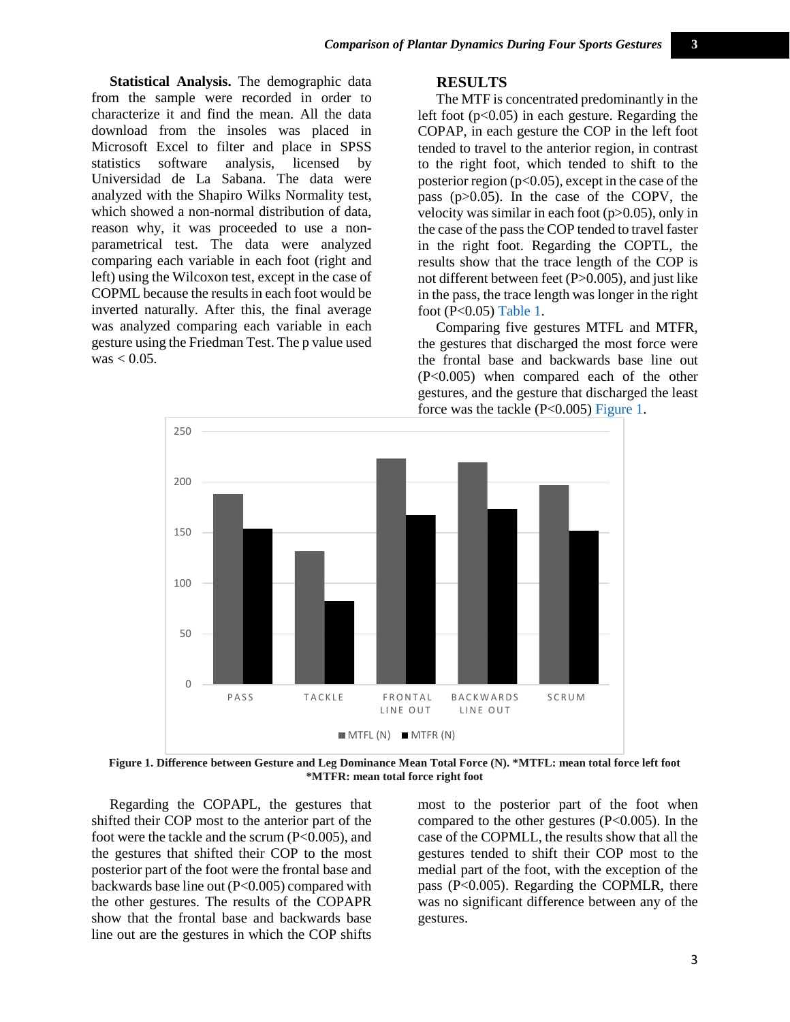**Statistical Analysis.** The demographic data from the sample were recorded in order to characterize it and find the mean. All the data download from the insoles was placed in Microsoft Excel to filter and place in SPSS statistics software analysis, licensed by Universidad de La Sabana. The data were analyzed with the Shapiro Wilks Normality test, which showed a non-normal distribution of data, reason why, it was proceeded to use a nonparametrical test. The data were analyzed comparing each variable in each foot (right and left) using the Wilcoxon test, except in the case of COPML because the results in each foot would be inverted naturally. After this, the final average was analyzed comparing each variable in each gesture using the Friedman Test. The p value used  $was < 0.05$ .

#### **RESULTS**

The MTF is concentrated predominantly in the left foot  $(p<0.05)$  in each gesture. Regarding the COPAP, in each gesture the COP in the left foot tended to travel to the anterior region, in contrast to the right foot, which tended to shift to the posterior region ( $p<0.05$ ), except in the case of the pass (p>0.05). In the case of the COPV, the velocity was similar in each foot (p>0.05), only in the case of the pass the COP tended to travel faster in the right foot. Regarding the COPTL, the results show that the trace length of the COP is not different between feet (P>0.005), and just like in the pass, the trace length was longer in the right foot (P<0.05) [Table 1.](#page-4-0)

Comparing five gestures MTFL and MTFR, the gestures that discharged the most force were the frontal base and backwards base line out (P<0.005) when compared each of the other gestures, and the gesture that discharged the least force was the tackle (P<0.005) [Figure 1.](#page-2-0)



<span id="page-2-0"></span>**Figure 1. Difference between Gesture and Leg Dominance Mean Total Force (N). \*MTFL: mean total force left foot \*MTFR: mean total force right foot**

Regarding the COPAPL, the gestures that shifted their COP most to the anterior part of the foot were the tackle and the scrum (P<0.005), and the gestures that shifted their COP to the most posterior part of the foot were the frontal base and backwards base line out (P<0.005) compared with the other gestures. The results of the COPAPR show that the frontal base and backwards base line out are the gestures in which the COP shifts

most to the posterior part of the foot when compared to the other gestures (P<0.005). In the case of the COPMLL, the results show that all the gestures tended to shift their COP most to the medial part of the foot, with the exception of the pass (P<0.005). Regarding the COPMLR, there was no significant difference between any of the gestures.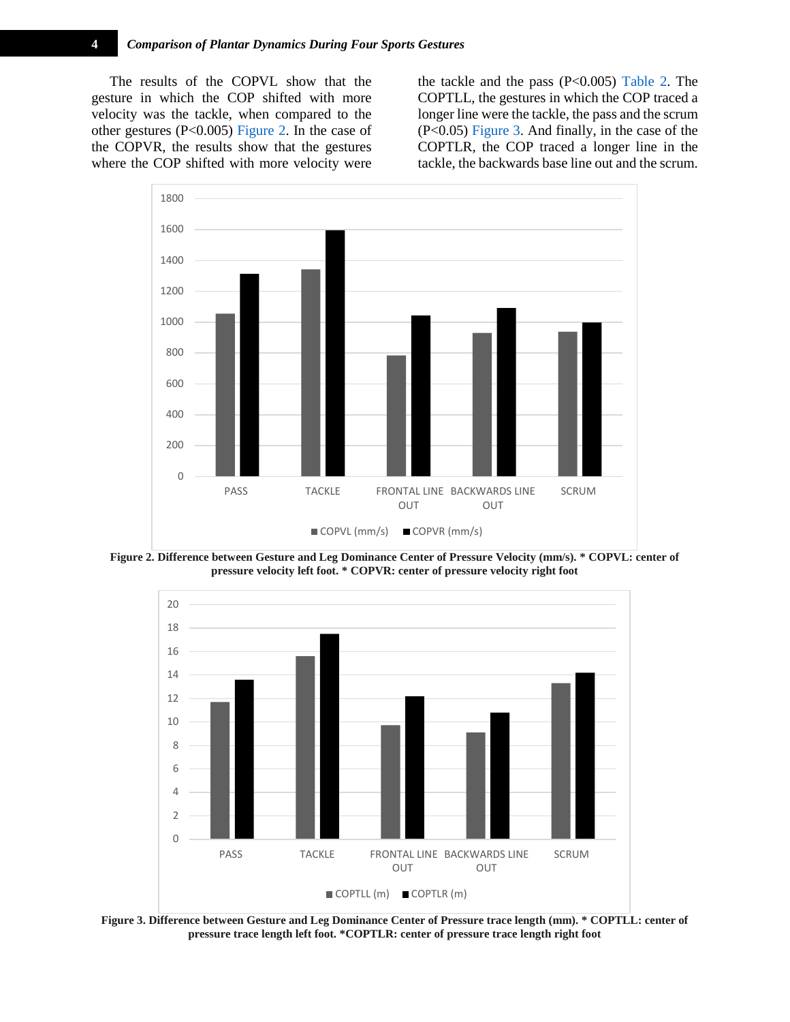The results of the COPVL show that the gesture in which the COP shifted with more velocity was the tackle, when compared to the other gestures (P<0.005) [Figure 2.](#page-3-0) In the case of the COPVR, the results show that the gestures where the COP shifted with more velocity were the tackle and the pass (P<0.005) [Table 2.](#page-5-0) The COPTLL, the gestures in which the COP traced a longer line were the tackle, the pass and the scrum (P<0.05) [Figure 3.](#page-3-1) And finally, in the case of the COPTLR, the COP traced a longer line in the tackle, the backwards base line out and the scrum.



<span id="page-3-0"></span>**Figure 2. Difference between Gesture and Leg Dominance Center of Pressure Velocity (mm/s). \* COPVL: center of pressure velocity left foot. \* COPVR: center of pressure velocity right foot**



<span id="page-3-1"></span>**Figure 3. Difference between Gesture and Leg Dominance Center of Pressure trace length (mm). \* COPTLL: center of pressure trace length left foot. \*COPTLR: center of pressure trace length right foot**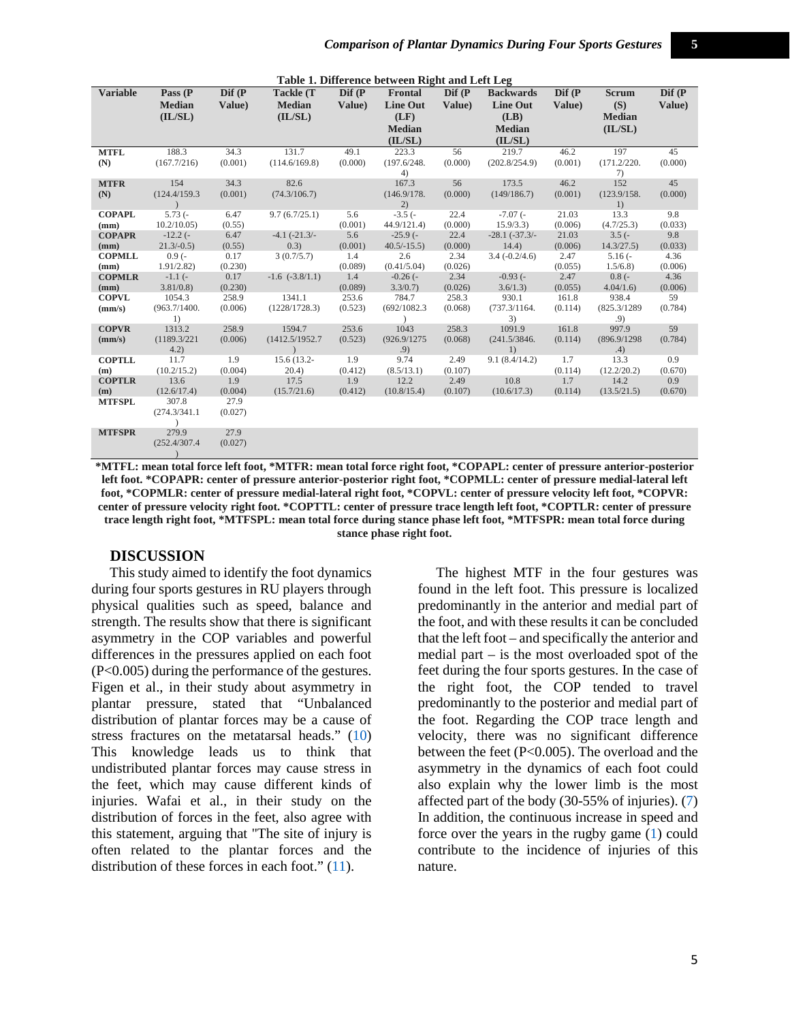<span id="page-4-0"></span>

| Table 1. Difference between Right and Left Leg |                    |                    |                     |                    |                  |                            |                   |                    |                   |               |
|------------------------------------------------|--------------------|--------------------|---------------------|--------------------|------------------|----------------------------|-------------------|--------------------|-------------------|---------------|
| <b>Variable</b>                                | Pass $(P)$         | $\mathbf{D}$ if (P | Tackle (T           | $\mathbf{D}$ if (P | Frontal          | $\mathbf{Dif}(\mathbf{P})$ | <b>Backwards</b>  | $\mathbf{D}$ if (P | <b>Scrum</b>      | Dif (P        |
|                                                | <b>Median</b>      | Value)             | <b>Median</b>       | Value)             | <b>Line Out</b>  | Value)                     | Line Out          | Value)             | (S)               | Value)        |
|                                                | (IL/SL)            |                    | (IL/SL)             |                    | (LF)             |                            | (LB)              |                    | <b>Median</b>     |               |
|                                                |                    |                    |                     |                    | <b>Median</b>    |                            | <b>Median</b>     |                    | (IL/SL)           |               |
|                                                |                    |                    |                     |                    | (IL/SL)          |                            | (IL/SL)           |                    |                   |               |
| <b>MTFL</b>                                    | 188.3              | 34.3               | 131.7               | 49.1               | 223.3            | 56                         | 219.7             | 46.2               | 197               | 45            |
| (N)                                            | (167.7/216)        | (0.001)            | (114.6/169.8)       | (0.000)            | (197.6/248.      | (0.000)                    | (202.8/254.9)     | (0.001)            | (171.2/220.       | (0.000)       |
|                                                |                    |                    |                     |                    | 4)               |                            |                   |                    | 7)                |               |
| <b>MTFR</b>                                    | 154                | 34.3               | 82.6                |                    | 167.3            | 56                         | 173.5             | 46.2               | 152               | 45            |
| (N)                                            | (124.4/159.3       | (0.001)            | (74.3/106.7)        |                    | (146.9/178.      | (0.000)                    | (149/186.7)       | (0.001)            | (123.9/158.       | (0.000)       |
|                                                |                    |                    |                     |                    | 2)               |                            |                   |                    | 1)                |               |
| <b>COPAPL</b>                                  | $5.73$ $(-$        | 6.47               | 9.7(6.7/25.1)       | 5.6                | $-3.5$ ( $-$     | 22.4                       | $-7.07$ ( $-$     | 21.03              | 13.3              | 9.8           |
| (mm)                                           | 10.2/10.05         | (0.55)             |                     | (0.001)            | 44.9/121.4       | (0.000)                    | 15.9/3.3)         | (0.006)            | (4.7/25.3)        | (0.033)       |
| <b>COPAPR</b>                                  | $-12.2$ (-         | 6.47               | $-4.1 (-21.3)$      | 5.6                | $-25.9$ ( $-$    | 22.4                       | $-28.1 (-37.3)$   | 21.03              | $3.5(-$           | 9.8           |
| (mm)                                           | $21.3/-0.5$        | (0.55)             | (0.3)               | (0.001)            | $40.5/-15.5$     | (0.000)                    | 14.4)             | (0.006)            | 14.3/27.5         | (0.033)       |
| <b>COPMLL</b>                                  | $0.9(-$            | 0.17               | 3(0.7/5.7)          | 1.4                | 2.6              | 2.34                       | $3.4(-0.2/4.6)$   | 2.47               | $5.16(-$          | 4.36          |
| (mm)                                           | 1.91/2.82          | (0.230)            |                     | (0.089)            | (0.41/5.04)      | (0.026)                    |                   | (0.055)            | 1.5/6.8           | (0.006)       |
| <b>COPMLR</b>                                  | $-1.1$ ( $-$       | 0.17               | $-1.6$ $(-3.8/1.1)$ | 1.4                | $-0.26(-)$       | 2.34                       | $-0.93$ ( $-$     | 2.47               | $0.8(-$           | 4.36          |
| (mm)<br><b>COPVL</b>                           | 3.81/0.8<br>1054.3 | (0.230)<br>258.9   | 1341.1              | (0.089)<br>253.6   | 3.3/0.7<br>784.7 | (0.026)<br>258.3           | 3.6/1.3)<br>930.1 | (0.055)<br>161.8   | 4.04/1.6<br>938.4 | (0.006)<br>59 |
|                                                | (963.7/1400.       | (0.006)            | (1228/1728.3)       | (0.523)            | (692/1082.3)     | (0.068)                    | (737.3/1164.      | (0.114)            | (825.3/1289       | (0.784)       |
| (mm/s)                                         | 1)                 |                    |                     |                    |                  |                            | 3)                |                    | .9)               |               |
| <b>COPVR</b>                                   | 1313.2             | 258.9              | 1594.7              | 253.6              | 1043             | 258.3                      | 1091.9            | 161.8              | 997.9             | 59            |
| (mm/s)                                         | (1189.3/221)       | (0.006)            | (1412.5/1952.7      | (0.523)            | (926.9/1275      | (0.068)                    | (241.5/3846.      | (0.114)            | (896.9/1298       | (0.784)       |
|                                                | 4.2)               |                    | $\rightarrow$       |                    | .9)              |                            | 1)                |                    | .4)               |               |
| <b>COPTLL</b>                                  | 11.7               | 1.9                | 15.6 (13.2-         | 1.9                | 9.74             | 2.49                       | 9.1(8.4/14.2)     | 1.7                | 13.3              | 0.9           |
| (m)                                            | (10.2/15.2)        | (0.004)            | 20.4)               | (0.412)            | (8.5/13.1)       | (0.107)                    |                   | (0.114)            | (12.2/20.2)       | (0.670)       |
| <b>COPTLR</b>                                  | 13.6               | 1.9                | 17.5                | 1.9                | 12.2             | 2.49                       | 10.8              | 1.7                | 14.2              | 0.9           |
| (m)                                            | (12.6/17.4)        | (0.004)            | (15.7/21.6)         | (0.412)            | (10.8/15.4)      | (0.107)                    | (10.6/17.3)       | (0.114)            | (13.5/21.5)       | (0.670)       |
| <b>MTFSPL</b>                                  | 307.8              | 27.9               |                     |                    |                  |                            |                   |                    |                   |               |
|                                                | (274.3/341.1       | (0.027)            |                     |                    |                  |                            |                   |                    |                   |               |
|                                                |                    |                    |                     |                    |                  |                            |                   |                    |                   |               |
| <b>MTFSPR</b>                                  | 279.9              | 27.9               |                     |                    |                  |                            |                   |                    |                   |               |
|                                                | (252.4/307.4       | (0.027)            |                     |                    |                  |                            |                   |                    |                   |               |
|                                                |                    |                    |                     |                    |                  |                            |                   |                    |                   |               |

) **\*MTFL: mean total force left foot, \*MTFR: mean total force right foot, \*COPAPL: center of pressure anterior-posterior left foot. \*COPAPR: center of pressure anterior-posterior right foot, \*COPMLL: center of pressure medial-lateral left foot, \*COPMLR: center of pressure medial-lateral right foot, \*COPVL: center of pressure velocity left foot, \*COPVR: center of pressure velocity right foot. \*COPTTL: center of pressure trace length left foot, \*COPTLR: center of pressure trace length right foot, \*MTFSPL: mean total force during stance phase left foot, \*MTFSPR: mean total force during** 

**stance phase right foot.**

# **DISCUSSION**

This study aimed to identify the foot dynamics during four sports gestures in RU players through physical qualities such as speed, balance and strength. The results show that there is significant asymmetry in the COP variables and powerful differences in the pressures applied on each foot (P<0.005) during the performance of the gestures. Figen et al., in their study about asymmetry in plantar pressure, stated that "Unbalanced distribution of plantar forces may be a cause of stress fractures on the metatarsal heads." [\(10\)](#page-6-8) This knowledge leads us to think that undistributed plantar forces may cause stress in the feet, which may cause different kinds of injuries. Wafai et al., in their study on the distribution of forces in the feet, also agree with this statement, arguing that "The site of injury is often related to the plantar forces and the distribution of these forces in each foot." [\(11\)](#page-6-9).

The highest MTF in the four gestures was found in the left foot. This pressure is localized predominantly in the anterior and medial part of the foot, and with these results it can be concluded that the left foot – and specifically the anterior and medial part – is the most overloaded spot of the feet during the four sports gestures. In the case of the right foot, the COP tended to travel predominantly to the posterior and medial part of the foot. Regarding the COP trace length and velocity, there was no significant difference between the feet (P<0.005). The overload and the asymmetry in the dynamics of each foot could also explain why the lower limb is the most affected part of the body (30-55% of injuries). [\(7\)](#page-6-5) In addition, the continuous increase in speed and force over the years in the rugby game [\(1\)](#page-6-0) could contribute to the incidence of injuries of this nature.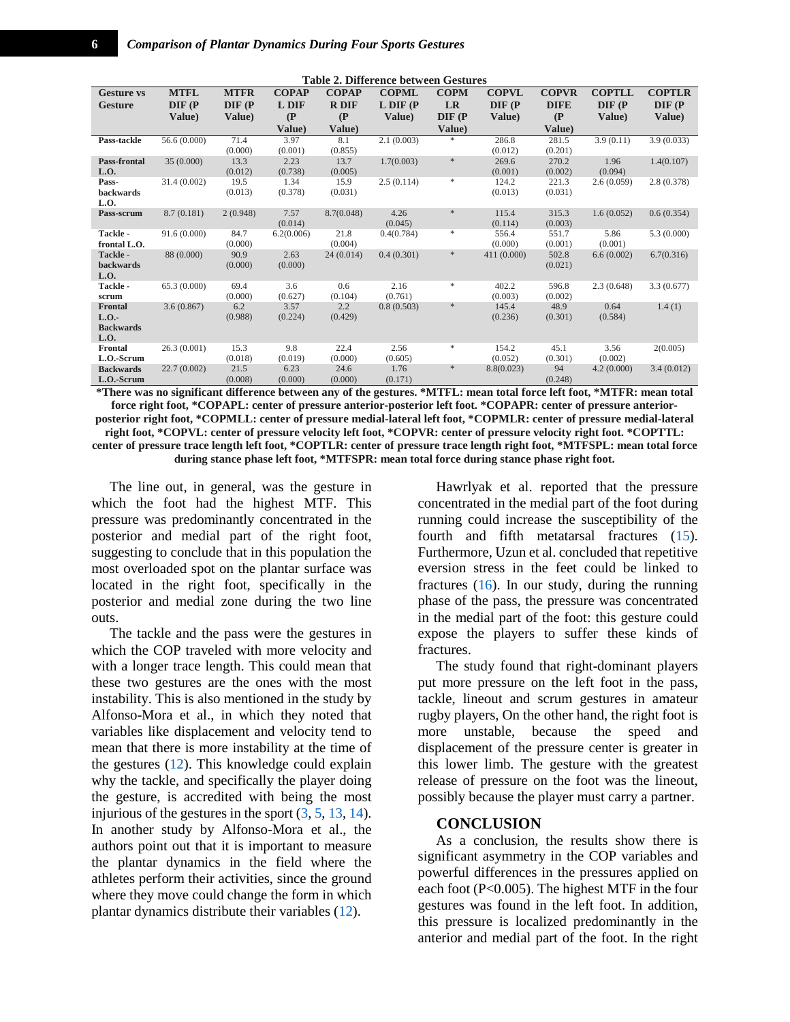<span id="page-5-0"></span>

| <b>Table 2. Difference between Gestures</b> |             |                     |              |              |               |               |              |              |               |               |  |
|---------------------------------------------|-------------|---------------------|--------------|--------------|---------------|---------------|--------------|--------------|---------------|---------------|--|
| <b>Gesture vs</b>                           | <b>MTFL</b> | <b>MTFR</b>         | <b>COPAP</b> | <b>COPAP</b> | <b>COPML</b>  | <b>COPM</b>   | <b>COPVL</b> | <b>COPVR</b> | <b>COPTLL</b> | <b>COPTLR</b> |  |
| <b>Gesture</b>                              | DIF (P      | $\bf DIF$ $(\bf P)$ | L DIF        | <b>R</b> DIF | $L$ DIF $(P)$ | LR            | DIF (P       | <b>DIFE</b>  | $DIF$ ( $P$   | $DIF$ ( $P$   |  |
|                                             | Value)      | Value)              | (P)          | $\mathbf{P}$ | Value)        | DIF (P        | Value)       | (P)          | Value)        | Value)        |  |
|                                             |             |                     | Value)       | Value)       |               | Value)        |              | Value)       |               |               |  |
| Pass-tackle                                 | 56.6(0.000) | 71.4                | 3.97         | 8.1          | 2.1(0.003)    | *             | 286.8        | 281.5        | 3.9(0.11)     | 3.9(0.033)    |  |
|                                             |             | (0.000)             | (0.001)      | (0.855)      |               |               | (0.012)      | (0.201)      |               |               |  |
| Pass-frontal                                | 35(0.000)   | 13.3                | 2.23         | 13.7         | 1.7(0.003)    | $\frac{1}{2}$ | 269.6        | 270.2        | 1.96          | 1.4(0.107)    |  |
| L.O.                                        |             | (0.012)             | (0.738)      | (0.005)      |               |               | (0.001)      | (0.002)      | (0.094)       |               |  |
| Pass-                                       | 31.4(0.002) | 19.5                | 1.34         | 15.9         | 2.5(0.114)    | $\ast$        | 124.2        | 221.3        | 2.6(0.059)    | 2.8(0.378)    |  |
| backwards                                   |             | (0.013)             | (0.378)      | (0.031)      |               |               | (0.013)      | (0.031)      |               |               |  |
| L.O.                                        |             |                     |              |              |               |               |              |              |               |               |  |
| Pass-scrum                                  | 8.7(0.181)  | 2(0.948)            | 7.57         | 8.7(0.048)   | 4.26          | $\gg$         | 115.4        | 315.3        | 1.6(0.052)    | 0.6(0.354)    |  |
|                                             |             |                     | (0.014)      |              | (0.045)       |               | (0.114)      | (0.003)      |               |               |  |
| Tackle -                                    | 91.6(0.000) | 84.7                | 6.2(0.006)   | 21.8         | 0.4(0.784)    | $\frac{1}{2}$ | 556.4        | 551.7        | 5.86          | 5.3(0.000)    |  |
| frontal L.O.                                |             | (0.000)<br>90.9     |              | (0.004)      |               | $\ast$        | (0.000)      | (0.001)      | (0.001)       |               |  |
| Tackle -                                    | 88 (0.000)  |                     | 2.63         | 24(0.014)    | 0.4(0.301)    |               | 411 (0.000)  | 502.8        | 6.6(0.002)    | 6.7(0.316)    |  |
| backwards<br>L.O.                           |             | (0.000)             | (0.000)      |              |               |               |              | (0.021)      |               |               |  |
| Tackle -                                    | 65.3(0.000) | 69.4                | 3.6          | 0.6          | 2.16          | *             | 402.2        | 596.8        | 2.3(0.648)    | 3.3(0.677)    |  |
| scrum                                       |             | (0.000)             | (0.627)      | (0.104)      | (0.761)       |               | (0.003)      | (0.002)      |               |               |  |
| Frontal                                     | 3.6(0.867)  | 6.2                 | 3.57         | 2.2          | 0.8(0.503)    | $\ast$        | 145.4        | 48.9         | 0.64          | 1.4(1)        |  |
| L.O.                                        |             | (0.988)             | (0.224)      | (0.429)      |               |               | (0.236)      | (0.301)      | (0.584)       |               |  |
| <b>Backwards</b>                            |             |                     |              |              |               |               |              |              |               |               |  |
| L.O.                                        |             |                     |              |              |               |               |              |              |               |               |  |
| Frontal                                     | 26.3(0.001) | 15.3                | 9.8          | 22.4         | 2.56          | *             | 154.2        | 45.1         | 3.56          | 2(0.005)      |  |
| L.O.-Scrum                                  |             | (0.018)             | (0.019)      | (0.000)      | (0.605)       |               | (0.052)      | (0.301)      | (0.002)       |               |  |
| <b>Backwards</b>                            | 22.7(0.002) | 21.5                | 6.23         | 24.6         | 1.76          | *             | 8.8(0.023)   | 94           | 4.2(0.000)    | 3.4(0.012)    |  |
| L.O.-Scrum                                  |             | (0.008)             | (0.000)      | (0.000)      | (0.171)       |               |              | (0.248)      |               |               |  |

**\*There was no significant difference between any of the gestures. \*MTFL: mean total force left foot, \*MTFR: mean total force right foot, \*COPAPL: center of pressure anterior-posterior left foot. \*COPAPR: center of pressure anteriorposterior right foot, \*COPMLL: center of pressure medial-lateral left foot, \*COPMLR: center of pressure medial-lateral right foot, \*COPVL: center of pressure velocity left foot, \*COPVR: center of pressure velocity right foot. \*COPTTL: center of pressure trace length left foot, \*COPTLR: center of pressure trace length right foot, \*MTFSPL: mean total force during stance phase left foot, \*MTFSPR: mean total force during stance phase right foot.**

The line out, in general, was the gesture in which the foot had the highest MTF. This pressure was predominantly concentrated in the posterior and medial part of the right foot, suggesting to conclude that in this population the most overloaded spot on the plantar surface was located in the right foot, specifically in the posterior and medial zone during the two line outs.

The tackle and the pass were the gestures in which the COP traveled with more velocity and with a longer trace length. This could mean that these two gestures are the ones with the most instability. This is also mentioned in the study by Alfonso-Mora et al., in which they noted that variables like displacement and velocity tend to mean that there is more instability at the time of the gestures [\(12\)](#page-7-0). This knowledge could explain why the tackle, and specifically the player doing the gesture, is accredited with being the most injurious of the gestures in the sport  $(3, 5, 13, 14)$  $(3, 5, 13, 14)$  $(3, 5, 13, 14)$  $(3, 5, 13, 14)$ . In another study by Alfonso-Mora et al., the authors point out that it is important to measure the plantar dynamics in the field where the athletes perform their activities, since the ground where they move could change the form in which plantar dynamics distribute their variables [\(12\)](#page-7-0).

Hawrlyak et al. reported that the pressure concentrated in the medial part of the foot during running could increase the susceptibility of the fourth and fifth metatarsal fractures [\(15\)](#page-7-3). Furthermore, Uzun et al. concluded that repetitive eversion stress in the feet could be linked to fractures  $(16)$ . In our study, during the running phase of the pass, the pressure was concentrated in the medial part of the foot: this gesture could expose the players to suffer these kinds of fractures.

The study found that right-dominant players put more pressure on the left foot in the pass, tackle, lineout and scrum gestures in amateur rugby players, On the other hand, the right foot is more unstable, because the speed and displacement of the pressure center is greater in this lower limb. The gesture with the greatest release of pressure on the foot was the lineout, possibly because the player must carry a partner.

#### **CONCLUSION**

As a conclusion, the results show there is significant asymmetry in the COP variables and powerful differences in the pressures applied on each foot (P<0.005). The highest MTF in the four gestures was found in the left foot. In addition, this pressure is localized predominantly in the anterior and medial part of the foot. In the right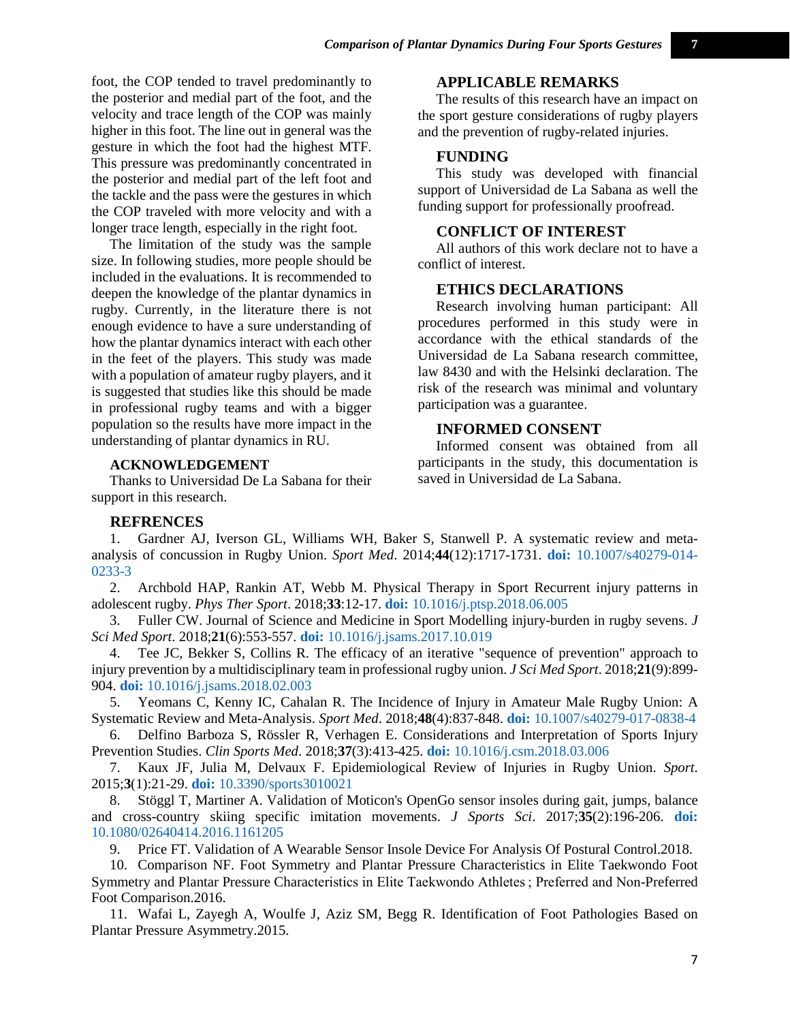foot, the COP tended to travel predominantly to the posterior and medial part of the foot, and the velocity and trace length of the COP was mainly higher in this foot. The line out in general was the gesture in which the foot had the highest MTF. This pressure was predominantly concentrated in the posterior and medial part of the left foot and the tackle and the pass were the gestures in which the COP traveled with more velocity and with a longer trace length, especially in the right foot.

The limitation of the study was the sample size. In following studies, more people should be included in the evaluations. It is recommended to deepen the knowledge of the plantar dynamics in rugby. Currently, in the literature there is not enough evidence to have a sure understanding of how the plantar dynamics interact with each other in the feet of the players. This study was made with a population of amateur rugby players, and it is suggested that studies like this should be made in professional rugby teams and with a bigger population so the results have more impact in the understanding of plantar dynamics in RU.

# **ACKNOWLEDGEMENT**

Thanks to Universidad De La Sabana for their support in this research.

# **APPLICABLE REMARKS**

The results of this research have an impact on the sport gesture considerations of rugby players and the prevention of rugby-related injuries.

# **FUNDING**

This study was developed with financial support of Universidad de La Sabana as well the funding support for professionally proofread.

# **CONFLICT OF INTEREST**

All authors of this work declare not to have a conflict of interest.

#### **ETHICS DECLARATIONS**

Research involving human participant: All procedures performed in this study were in accordance with the ethical standards of the Universidad de La Sabana research committee, law 8430 and with the Helsinki declaration. The risk of the research was minimal and voluntary participation was a guarantee.

# **INFORMED CONSENT**

Informed consent was obtained from all participants in the study, this documentation is saved in Universidad de La Sabana.

#### <span id="page-6-0"></span>**REFRENCES**

1. Gardner AJ, Iverson GL, Williams WH, Baker S, Stanwell P. A systematic review and metaanalysis of concussion in Rugby Union. *Sport Med*. 2014;**44**(12):1717-1731. **doi:** [10.1007/s40279-014-](http://dx.doi.org/10.1007/s40279-014-0233-3) [0233-3](http://dx.doi.org/10.1007/s40279-014-0233-3)

<span id="page-6-1"></span>2. Archbold HAP, Rankin AT, Webb M. Physical Therapy in Sport Recurrent injury patterns in adolescent rugby. *Phys Ther Sport*. 2018;**33**:12-17. **doi:** [10.1016/j.ptsp.2018.06.005](http://dx.doi.org/10.1016/j.ptsp.2018.06.005)

<span id="page-6-2"></span>3. Fuller CW. Journal of Science and Medicine in Sport Modelling injury-burden in rugby sevens. *J Sci Med Sport*. 2018;**21**(6):553-557. **doi:** [10.1016/j.jsams.2017.10.019](http://dx.doi.org/10.1016/j.jsams.2017.10.019)

<span id="page-6-3"></span>4. Tee JC, Bekker S, Collins R. The efficacy of an iterative "sequence of prevention" approach to injury prevention by a multidisciplinary team in professional rugby union. *J Sci Med Sport*. 2018;**21**(9):899- 904. **doi:** [10.1016/j.jsams.2018.02.003](http://dx.doi.org/10.1016/j.jsams.2018.02.003)

<span id="page-6-4"></span>5. Yeomans C, Kenny IC, Cahalan R. The Incidence of Injury in Amateur Male Rugby Union: A Systematic Review and Meta-Analysis. *Sport Med*. 2018;**48**(4):837-848. **doi:** [10.1007/s40279-017-0838-4](http://dx.doi.org/10.1007/s40279-017-0838-4)

6. Delfino Barboza S, Rössler R, Verhagen E. Considerations and Interpretation of Sports Injury Prevention Studies. *Clin Sports Med*. 2018;**37**(3):413-425. **doi:** [10.1016/j.csm.2018.03.006](http://dx.doi.org/10.1016/j.csm.2018.03.006)

<span id="page-6-5"></span>7. Kaux JF, Julia M, Delvaux F. Epidemiological Review of Injuries in Rugby Union. *Sport*. 2015;**3**(1):21-29. **doi:** [10.3390/sports3010021](http://dx.doi.org/10.3390/sports3010021)

<span id="page-6-6"></span>8. Stöggl T, Martiner A. Validation of Moticon's OpenGo sensor insoles during gait, jumps, balance and cross-country skiing specific imitation movements. *J Sports Sci*. 2017;**35**(2):196-206. **[doi:](http://dx.doi.org/10.1080/02640414.2016.1161205)**  [10.1080/02640414.2016.1161205](http://dx.doi.org/10.1080/02640414.2016.1161205)

9. Price FT. Validation of A Wearable Sensor Insole Device For Analysis Of Postural Control.2018.

<span id="page-6-8"></span><span id="page-6-7"></span>10. Comparison NF. Foot Symmetry and Plantar Pressure Characteristics in Elite Taekwondo Foot Symmetry and Plantar Pressure Characteristics in Elite Taekwondo Athletes ; Preferred and Non-Preferred Foot Comparison.2016.

<span id="page-6-9"></span>11. Wafai L, Zayegh A, Woulfe J, Aziz SM, Begg R. Identification of Foot Pathologies Based on Plantar Pressure Asymmetry.2015.